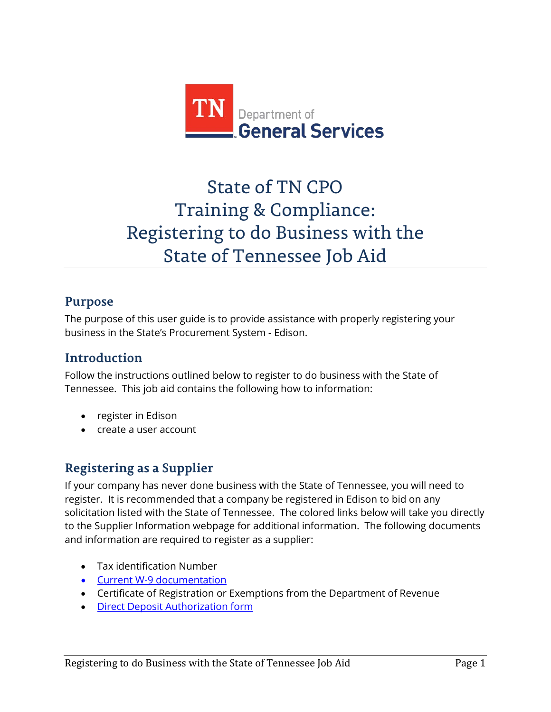

# State of TN CPO Training & Compliance: Registering to do Business with the State of Tennessee Job Aid

# **Purpose**

The purpose of this user guide is to provide assistance with properly registering your business in the State's Procurement System - Edison.

# **Introduction**

Follow the instructions outlined below to register to do business with the State of Tennessee. This job aid contains the following how to information:

- register in Edison
- create a user account

# **Registering as a Supplier**

If your company has never done business with the State of Tennessee, you will need to register. It is recommended that a company be registered in Edison to bid on any solicitation listed with the State of Tennessee. The colored links below will take you directly to the Supplier Information webpage for additional information. The following documents and information are required to register as a supplier:

- Tax identification Number
- [Current W-9 documentation](http://tn.gov/generalservices/topic/vendor-information)
- Certificate of Registration or Exemptions from the Department of Revenue
- [Direct Deposit Authorization form](http://tn.gov/generalservices/topic/vendor-information)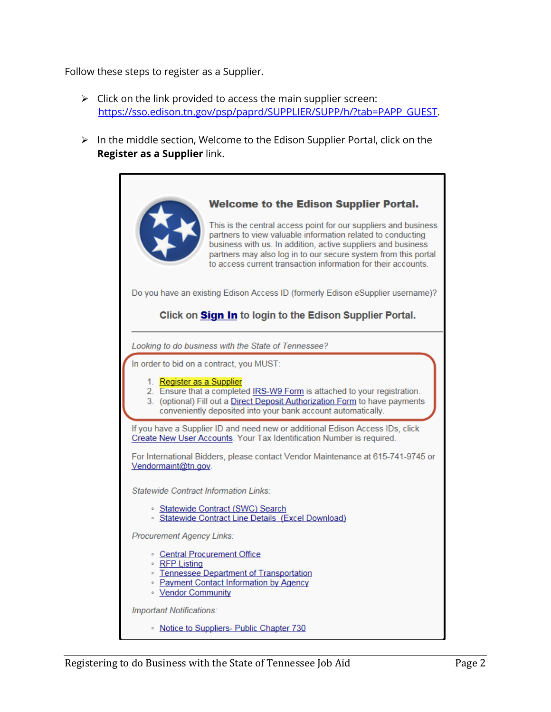Follow these steps to register as a Supplier.

- $\triangleright$  Click on the link provided to access the main supplier screen: [https://sso.edison.tn.gov/psp/paprd/SUPPLIER/SUPP/h/?tab=PAPP\\_GUEST.](https://sso.edison.tn.gov/psp/paprd/SUPPLIER/SUPP/h/?tab=PAPP_GUEST)
- $\triangleright$  In the middle section, Welcome to the Edison Supplier Portal, click on the **Register as a Supplier** link.

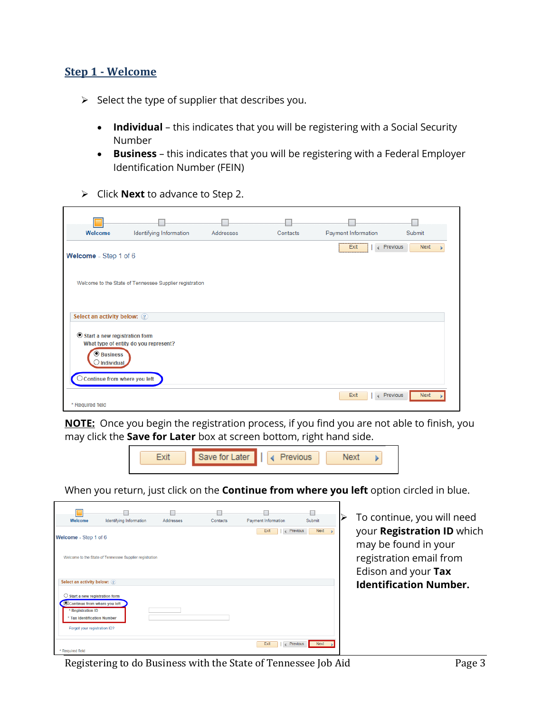#### **Step 1 - Welcome**

- $\triangleright$  Select the type of supplier that describes you.
	- **Individual** this indicates that you will be registering with a Social Security Number
	- **Business** this indicates that you will be registering with a Federal Employer Identification Number (FEIN)
- Click **Next** to advance to Step 2.

| Welcome                                                                 | Identifying Information                                 | <b>Addresses</b> | Contacts | Payment Information                      | Submit      |
|-------------------------------------------------------------------------|---------------------------------------------------------|------------------|----------|------------------------------------------|-------------|
| Welcome - Step 1 of 6                                                   |                                                         |                  |          | Previous<br>Exit<br>$\left($             | <b>Next</b> |
|                                                                         | Welcome to the State of Tennessee Supplier registration |                  |          |                                          |             |
| Select an activity below: 2                                             |                                                         |                  |          |                                          |             |
| Start a new registration form<br><b>O</b> Business<br>$\Box$ Individual | What type of entity do you represent?                   |                  |          |                                          |             |
| $\bigcirc$ Continue from where you left<br>* Required field             |                                                         |                  |          | Previous<br>Exit<br>$\blacktriangleleft$ | <b>Next</b> |

**NOTE:** Once you begin the registration process, if you find you are not able to finish, you may click the **Save for Later** box at screen bottom, right hand side.



When you return, just click on the **Continue from where you left** option circled in blue.



 To continue, you will need your **Registration ID** which may be found in your registration email from Edison and your **Tax Identification Number.**

Registering to do Business with the State of Tennessee Job Aid Page 3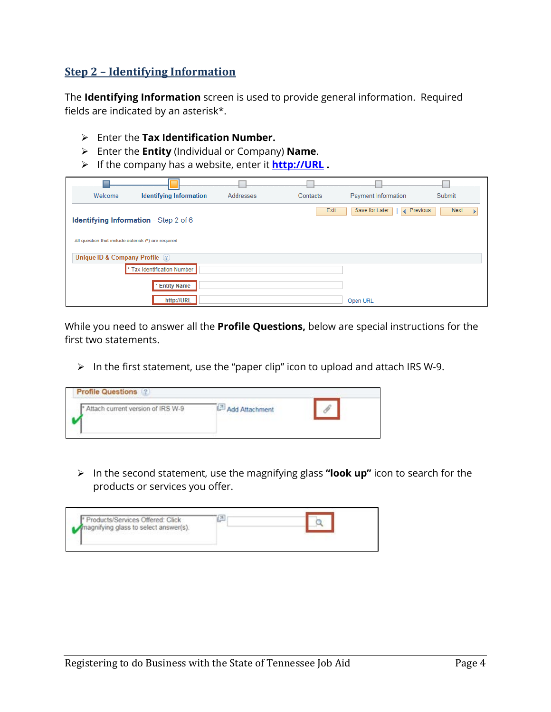#### **Step 2 – Identifying Information**

The **Identifying Information** screen is used to provide general information. Required fields are indicated by an asterisk\*.

- Enter the **Tax Identification Number.**
- Enter the **Entity** (Individual or Company) **Name**.
- If the company has a website, enter it **[http://URL](http://url/) .**

| Welcome                                             | <b>Identifying Information</b>               | Addresses | Contacts | <b>Payment Information</b>      | Submit |
|-----------------------------------------------------|----------------------------------------------|-----------|----------|---------------------------------|--------|
|                                                     | <b>Identifying Information</b> - Step 2 of 6 |           | Exit     | Save for Later<br>Previous<br>∢ | Next   |
| All question that include asterisk (*) are required |                                              |           |          |                                 |        |
| Unique ID & Company Profile (?)                     |                                              |           |          |                                 |        |
|                                                     | * Tax Identification Number                  |           |          |                                 |        |
|                                                     | * Entity Name                                |           |          |                                 |        |
|                                                     | http://URL                                   |           |          | Open URL                        |        |

While you need to answer all the **Profile Questions,** below are special instructions for the first two statements.

 $\triangleright$  In the first statement, use the "paper clip" icon to upload and attach IRS W-9.

| Attach current version of IRS W-9 | <b>Add Attachment</b><br><b>J. THO A DESCRIPTION TO BE THE STATISTIC</b> |  |
|-----------------------------------|--------------------------------------------------------------------------|--|
|                                   |                                                                          |  |

 In the second statement, use the magnifying glass **"look up"** icon to search for the products or services you offer.

| Products/Services Offered: Click<br>nagnifying glass to select answer(s). |  |
|---------------------------------------------------------------------------|--|
|                                                                           |  |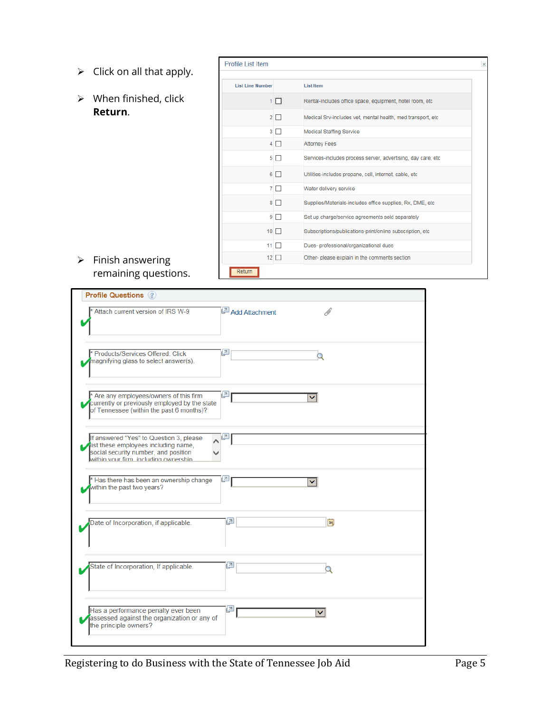- $\triangleright$  Click on all that apply.
- $\triangleright$  When finished, click **Return**.

| <b>List Line Number</b> |             | <b>List Item</b>                                              |
|-------------------------|-------------|---------------------------------------------------------------|
|                         |             |                                                               |
|                         | 1 □         | Rental-includes office space, equipment, hotel room, etc.     |
|                         | $2\Box$     | Medical Srv-includes vet, mental health, med transport, etc.  |
| 3                       | П           | <b>Medical Staffing Service</b>                               |
| 4                       | п           | <b>Attorney Fees</b>                                          |
| 5.                      | П           | Services-includes process server, advertising, day care, etc. |
| 6                       | П           | Utilities-includes propane, cell, internet, cable, etc        |
|                         | 7 O         | Water delivery service                                        |
| 8                       | $\Box$      | Supplies/Materials-includes office supplies, Rx, DME, etc.    |
| 9                       | П           | Set up charge/service agreements sold separately              |
| 10 <sup>1</sup>         | П           | Subscriptions/publications-print/online subscription, etc     |
| 11                      | H           | Dues- professional/organizational dues                        |
|                         | $12$ $\Box$ | Other- please explain in the comments section                 |

#### $\triangleright$  Finish answering remaining questions.

| <b>Profile Questions (?)</b>                                                                                                         |                                 |
|--------------------------------------------------------------------------------------------------------------------------------------|---------------------------------|
| Attach current version of IRS W-9                                                                                                    | $\mathcal{O}$<br>Add Attachment |
| Products/Services Offered: Click<br>magnifying glass to select answer(s).                                                            | 린<br>Q                          |
| * Are any employees/owners of this firm<br>currently or previously employed by the state<br>of Tennessee (within the past 6 months)? | 린<br>▽                          |
| If answered "Yes" to Question 3, please                                                                                              | 린                               |
| list these employees including name,<br>social security number, and position<br>within your firm including ownership.                |                                 |
| * Has there has been an ownership change<br>within the past two years?                                                               | لتيل                            |
| Date of Incorporation, if applicable.                                                                                                | 리<br>BU                         |
| State of Incorporation, If applicable.                                                                                               | 리                               |
| Has a performance penalty ever been<br>assessed against the organization or any of<br>the principle owners?                          | 린                               |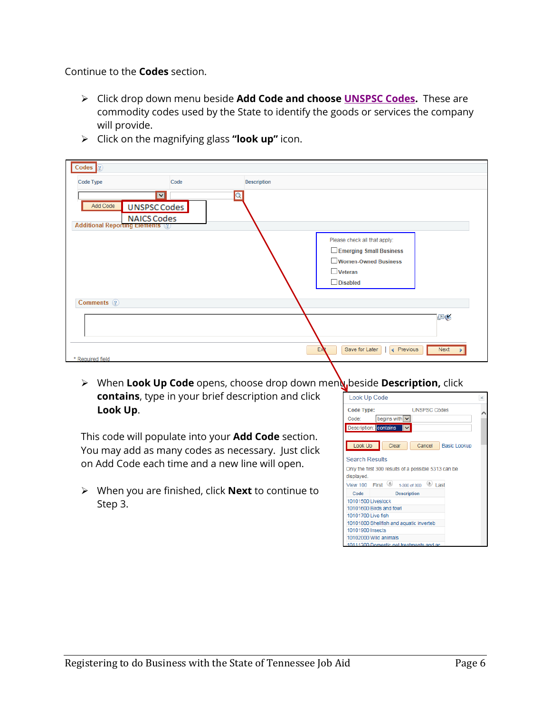Continue to the **Codes** section.

 Click drop down menu beside **Add Code and choose [UNSPSC Codes.](http://tn.gov/generalservices/article/agency-reference-material)** These are commodity codes used by the State to identify the goods or services the company will provide.

| $\text{Codes}$ $\boxed{?}$                                                                                            |                         |                    |                                                  |             |
|-----------------------------------------------------------------------------------------------------------------------|-------------------------|--------------------|--------------------------------------------------|-------------|
| <b>Code Type</b>                                                                                                      | Code                    | <b>Description</b> |                                                  |             |
| $\overline{\mathbf{v}}$<br>Add Code<br>UNSPSC Codes<br><b>NAICS Codes</b><br><b>Additional Reporting Elements</b> (2) | $\overline{\mathsf{Q}}$ |                    |                                                  |             |
|                                                                                                                       |                         |                    | Please check all that apply:                     |             |
|                                                                                                                       |                         |                    | Emerging Small Business                          |             |
|                                                                                                                       |                         |                    | Women-Owned Business                             |             |
|                                                                                                                       |                         |                    | $\Box$ Veteran                                   |             |
|                                                                                                                       |                         |                    | $\Box$ Disabled                                  |             |
| Comments ?                                                                                                            |                         |                    |                                                  |             |
|                                                                                                                       |                         |                    |                                                  | FR          |
| * Required field                                                                                                      |                         |                    | Save for Later<br>EX<br>$\triangleleft$ Previous | <b>Next</b> |

Click on the magnifying glass **"look up"** icon.

> When Look Up Code opens, choose drop down menu beside **Description,** click **contains**, type in your brief description and click **Look Up**.

This code will populate into your **Add Code** section. You may add as many codes as necessary. Just click on Add Code each time and a new line will open.

 When you are finished, click **Next** to continue to Step 3.

| Look Up Code       |                                                      | $\times$ |
|--------------------|------------------------------------------------------|----------|
| <b>Code Type:</b>  | <b>UNSPSC Codes</b>                                  |          |
| Code:              | begins with                                          |          |
|                    | Description: contains                                |          |
|                    |                                                      |          |
| Look Up            | Clear<br>Cancel<br><b>Basic Lookup</b>               |          |
|                    |                                                      |          |
| Search Results     |                                                      |          |
|                    | Only the first 300 results of a possible 5313 can be |          |
| displayed.         |                                                      |          |
| <b>View 100</b>    | (4)<br>First<br>Last<br>1-300 of 300                 |          |
| Code               | <b>Description</b>                                   |          |
| 10101500 Livestock |                                                      |          |
|                    | 10101600 Birds and fowl                              |          |
| 10101700 Live fish |                                                      |          |
|                    | 10101800 Shellfish and aquatic inverteb              |          |
| 10101900 Insects   |                                                      |          |
|                    | 10102000 Wild animals                                |          |
|                    | 10111300 Domestic net treatments and ac              |          |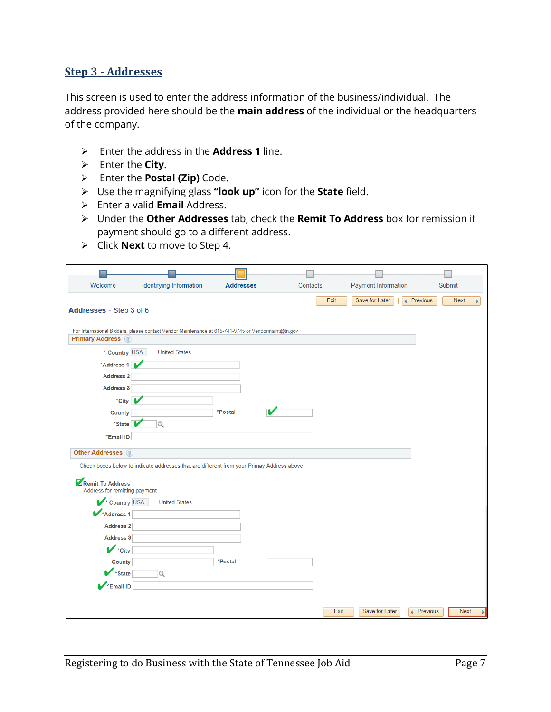#### **Step 3 - Addresses**

This screen is used to enter the address information of the business/individual. The address provided here should be the **main address** of the individual or the headquarters of the company.

- Enter the address in the **Address 1** line.
- Enter the **City**.
- Enter the **Postal (Zip)** Code.
- Use the magnifying glass **"look up"** icon for the **State** field.
- Enter a valid **Email** Address.
- Under the **Other Addresses** tab, check the **Remit To Address** box for remission if payment should go to a different address.
- Click **Next** to move to Step 4.

| Welcome                                                                                                                              | <b>Identifying Information</b>                                                                     | <b>Addresses</b> | Contacts |      | <b>Payment Information</b> |                          | <b>Submit</b>    |
|--------------------------------------------------------------------------------------------------------------------------------------|----------------------------------------------------------------------------------------------------|------------------|----------|------|----------------------------|--------------------------|------------------|
| Addresses - Step 3 of 6<br><b>Primary Address</b> ?                                                                                  | For International Bidders, please contact Vendor Maintenance at 615-741-9745 or Vendormaint@tn.gov |                  |          | Exit | Save for Later             | $\triangleleft$ Previous | <b>Next</b><br>¥ |
| * Country USA                                                                                                                        | <b>United States</b>                                                                               |                  |          |      |                            |                          |                  |
| *Address 1                                                                                                                           |                                                                                                    |                  |          |      |                            |                          |                  |
| Address 2                                                                                                                            |                                                                                                    |                  |          |      |                            |                          |                  |
| Address 3                                                                                                                            |                                                                                                    |                  |          |      |                            |                          |                  |
| *City                                                                                                                                |                                                                                                    |                  |          |      |                            |                          |                  |
| County                                                                                                                               |                                                                                                    | *Postal          |          |      |                            |                          |                  |
| *State <sup>1</sup>                                                                                                                  | $\alpha$                                                                                           |                  |          |      |                            |                          |                  |
| *Email ID                                                                                                                            |                                                                                                    |                  |          |      |                            |                          |                  |
| <b>Other Addresses</b> ?                                                                                                             |                                                                                                    |                  |          |      |                            |                          |                  |
|                                                                                                                                      | Check boxes below to indicate addresses that are different from your Primay Address above:         |                  |          |      |                            |                          |                  |
| Remit To Address<br>Address for remitting payment<br>Country USA<br>Address 1<br><b>Address 2</b><br>Address 3<br>$\mathbf{V}$ *City | <b>United States</b>                                                                               |                  |          |      |                            |                          |                  |
| County                                                                                                                               |                                                                                                    | *Postal          |          |      |                            |                          |                  |
| *State                                                                                                                               | $\overline{Q}$                                                                                     |                  |          |      |                            |                          |                  |
| *Email ID                                                                                                                            |                                                                                                    |                  |          |      |                            |                          |                  |
|                                                                                                                                      |                                                                                                    |                  |          | Exit | Save for Later             | ◀ Previous               | <b>Next</b>      |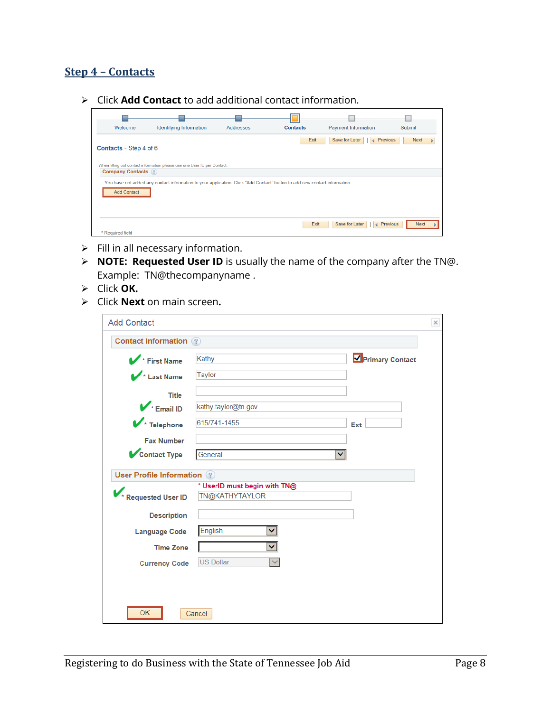#### **Step 4 – Contacts**

Click **Add Contact** to add additional contact information.

| Welcome                                                                                                                                          | Identifying Information                                                  | <b>Addresses</b> | <b>Contacts</b> | <b>Payment Information</b>   | Submit                    |  |
|--------------------------------------------------------------------------------------------------------------------------------------------------|--------------------------------------------------------------------------|------------------|-----------------|------------------------------|---------------------------|--|
| Contacts - Step 4 of 6                                                                                                                           |                                                                          |                  | Exit            | ← Previous<br>Save for Later | <b>Next</b>               |  |
| <b>Company Contacts</b> ?                                                                                                                        | When filling out contact information please use one User ID per Contact. |                  |                 |                              |                           |  |
|                                                                                                                                                  |                                                                          |                  |                 |                              |                           |  |
| You have not added any contact information to your application. Click "Add Contact" button to add new contact information.<br><b>Add Contact</b> |                                                                          |                  |                 |                              |                           |  |
|                                                                                                                                                  |                                                                          |                  | Exit            | Save for Later               | ← Previous<br><b>Next</b> |  |
| * Required field                                                                                                                                 |                                                                          |                  |                 |                              |                           |  |

- $\triangleright$  Fill in all necessary information.
- **NOTE: Requested User ID** is usually the name of the company after the TN@. Example: TN@thecompanyname .
- Click **OK.**
- Click **Next** on main screen**.**

| <b>Add Contact</b>                |                                                |                 | $\times$ |
|-----------------------------------|------------------------------------------------|-----------------|----------|
| <b>Contact Information</b> ?      |                                                |                 |          |
| First Name                        | Kathy                                          | Primary Contact |          |
| Last Name                         | <b>Taylor</b>                                  |                 |          |
| <b>Title</b>                      |                                                |                 |          |
| $\mathbf{V}$ Email ID             | kathy.taylor@tn.gov                            |                 |          |
| $\blacktriangleright$ Telephone   | 615/741-1455                                   | Ext             |          |
| <b>Fax Number</b>                 |                                                |                 |          |
| Contact Type                      | General<br>v                                   |                 |          |
| <b>User Profile Information</b> 2 |                                                |                 |          |
| <b>Requested User ID</b>          | * UserID must begin with TN@<br>TN@KATHYTAYLOR |                 |          |
|                                   |                                                |                 |          |
| <b>Description</b>                |                                                |                 |          |
| <b>Language Code</b>              | English                                        |                 |          |
| <b>Time Zone</b>                  |                                                |                 |          |
| <b>Currency Code</b>              | <b>US Dollar</b>                               |                 |          |
|                                   |                                                |                 |          |
|                                   |                                                |                 |          |
| <b>OK</b>                         | Cancel                                         |                 |          |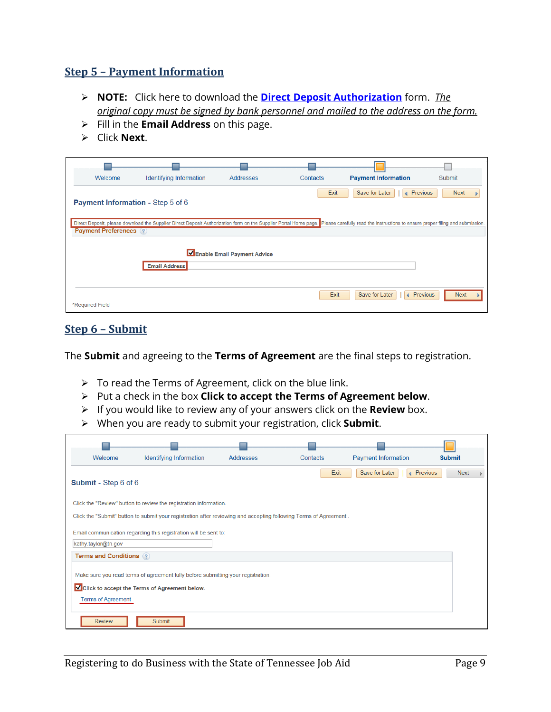#### **Step 5 – Payment Information**

- **NOTE:** Click here to download the **[Direct Deposit Authorization](http://tn.gov/generalservices/topic/vendor-information)** form. *The original copy must be signed by bank personnel and mailed to the address on the form.*
- Fill in the **Email Address** on this page.
- Click **Next**.

| Welcome                                  | <b>Identifying Information</b>                                                                                                                                                                  | <b>Addresses</b>            | Contacts | <b>Payment Information</b>                 | <b>Submit</b> |
|------------------------------------------|-------------------------------------------------------------------------------------------------------------------------------------------------------------------------------------------------|-----------------------------|----------|--------------------------------------------|---------------|
| <b>Payment Information - Step 5 of 6</b> |                                                                                                                                                                                                 |                             | Exit     | Previous<br>Save for Later<br>∢            | <b>Next</b>   |
| <b>Payment Preferences</b> (?)           | Direct Deposit, please download the Supplier Direct Deposit Authorization form on the Supplier Portal Home page. Please carefully read the instructions to ensure proper filing and submission. |                             |          |                                            |               |
|                                          | <b>Email Address</b>                                                                                                                                                                            | Enable Email Payment Advice |          |                                            |               |
| *Required Field                          |                                                                                                                                                                                                 |                             | Exit     | Save for Later<br>$\triangleleft$ Previous | <b>Next</b>   |

#### **Step 6 – Submit**

The **Submit** and agreeing to the **Terms of Agreement** are the final steps to registration.

- $\triangleright$  To read the Terms of Agreement, click on the blue link.
- Put a check in the box **Click to accept the Terms of Agreement below**.
- If you would like to review any of your answers click on the **Review** box.
- When you are ready to submit your registration, click **Submit**.

| Welcome                                                                                                                                                        | Identifying Information                                           | <b>Addresses</b> | Contacts | <b>Payment Information</b>   | <b>Submit</b> |
|----------------------------------------------------------------------------------------------------------------------------------------------------------------|-------------------------------------------------------------------|------------------|----------|------------------------------|---------------|
| Submit - Step 6 of 6                                                                                                                                           |                                                                   |                  | Exit     | ← Previous<br>Save for Later | <b>Next</b>   |
|                                                                                                                                                                | Click the "Review" button to review the registration information. |                  |          |                              |               |
| Click the "Submit" button to submit your registration after reviewing and accepting following Terms of Agreement.                                              |                                                                   |                  |          |                              |               |
| Email communication regarding this registration will be sent to:<br>kathy.taylor@tn.gov                                                                        |                                                                   |                  |          |                              |               |
| <b>Terms and Conditions (?)</b>                                                                                                                                |                                                                   |                  |          |                              |               |
| Make sure you read terms of agreement fully before submitting your registration.<br>Click to accept the Terms of Agreement below.<br><b>Terms of Agreement</b> |                                                                   |                  |          |                              |               |
| <b>Review</b>                                                                                                                                                  | Submit                                                            |                  |          |                              |               |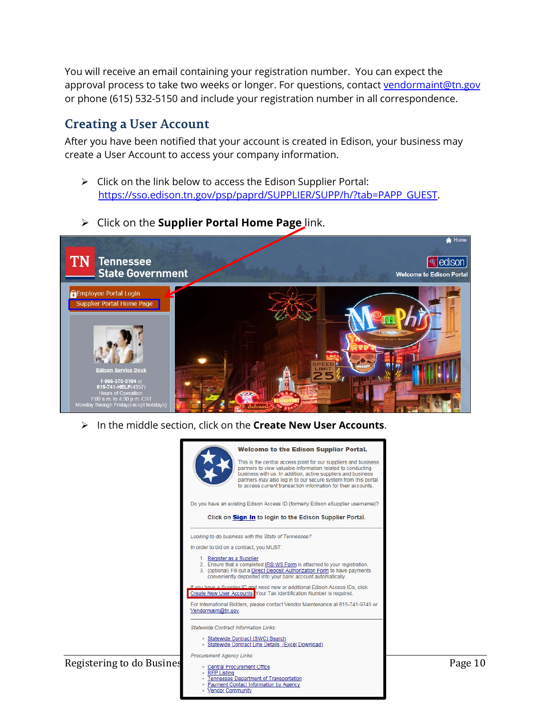You will receive an email containing your registration number. You can expect the approval process to take two weeks or longer. For questions, contact [vendormaint@tn.gov](mailto:vendormaint@tn.gov) or phone (615) 532-5150 and include your registration number in all correspondence.

### **Creating a User Account**

After you have been notified that your account is created in Edison, your business may create a User Account to access your company information.

- $\triangleright$  Click on the link below to access the Edison Supplier Portal: [https://sso.edison.tn.gov/psp/paprd/SUPPLIER/SUPP/h/?tab=PAPP\\_GUEST.](https://sso.edison.tn.gov/psp/paprd/SUPPLIER/SUPP/h/?tab=PAPP_GUEST)
- Click on the **Supplier Portal Home Page** link.



In the middle section, click on the **Create New User Accounts**.

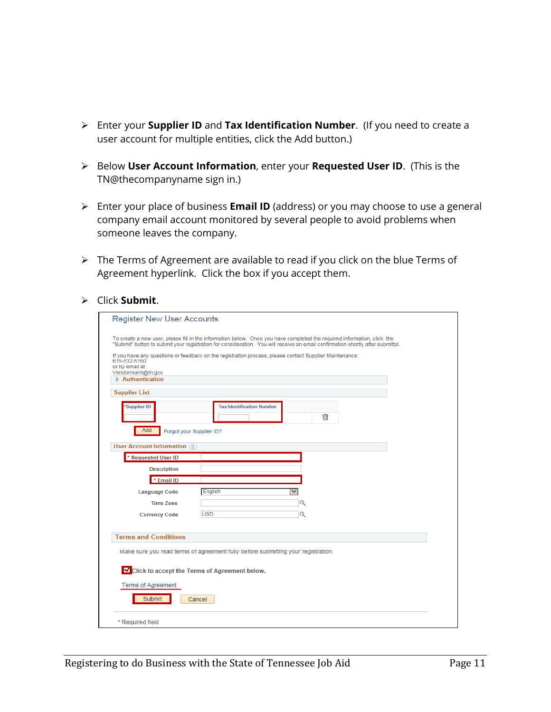- Enter your **Supplier ID** and **Tax Identification Number**. (If you need to create a user account for multiple entities, click the Add button.)
- Below **User Account Information**, enter your **Requested User ID**. (This is the TN@thecompanyname sign in.)
- Enter your place of business **Email ID** (address) or you may choose to use a general company email account monitored by several people to avoid problems when someone leaves the company.
- > The Terms of Agreement are available to read if you click on the blue Terms of Agreement hyperlink. Click the box if you accept them.
- Click **Submit**.

| <b>Register New User Accounts</b>                                                                                                                                                                                                                         |  |  |
|-----------------------------------------------------------------------------------------------------------------------------------------------------------------------------------------------------------------------------------------------------------|--|--|
|                                                                                                                                                                                                                                                           |  |  |
| To create a new user, please fill in the information below. Once you have completed the required information, click the<br>"Submit" button to submit your registration for consideration. You will receive an email confirmation shortly after submittal. |  |  |
| If you have any questions or feedback on the registration process, please contact Supplier Maintenance:<br>615-532-5150<br>or by email at<br>Vendormaint@tn.gov<br>$\triangleright$ Authentication                                                        |  |  |
| <b>Supplier List</b>                                                                                                                                                                                                                                      |  |  |
| <b>Supplier ID</b><br><b>Tax Identification Number</b><br>侖                                                                                                                                                                                               |  |  |
| Add<br>Forgot your Supplier ID?                                                                                                                                                                                                                           |  |  |
| <b>User Account Information</b> ?                                                                                                                                                                                                                         |  |  |
| * Requested User ID                                                                                                                                                                                                                                       |  |  |
| <b>Description</b>                                                                                                                                                                                                                                        |  |  |
| * Email ID                                                                                                                                                                                                                                                |  |  |
| English<br>▽<br><b>Language Code</b>                                                                                                                                                                                                                      |  |  |
| Q<br><b>Time Zone</b>                                                                                                                                                                                                                                     |  |  |
| <b>USD</b><br>$\mathbf Q$<br><b>Currency Code</b>                                                                                                                                                                                                         |  |  |
|                                                                                                                                                                                                                                                           |  |  |
| <b>Terms and Conditions</b>                                                                                                                                                                                                                               |  |  |
| Make sure you read terms of agreement fully before submitting your registration.                                                                                                                                                                          |  |  |
| Click to accept the Terms of Agreement below.                                                                                                                                                                                                             |  |  |
| <b>Terms of Agreement</b>                                                                                                                                                                                                                                 |  |  |
| Submit<br>Cancel                                                                                                                                                                                                                                          |  |  |
| * Required field                                                                                                                                                                                                                                          |  |  |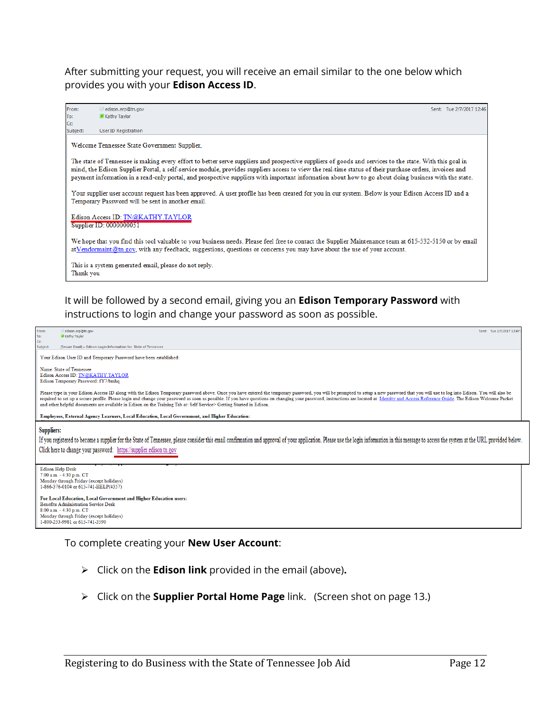After submitting your request, you will receive an email similar to the one below which provides you with your **Edison Access ID**.



It will be followed by a second email, giving you an **Edison Temporary Password** with instructions to login and change your password as soon as possible.



#### To complete creating your **New User Account**:

- Click on the **Edison link** provided in the email (above)**.**
- Click on the **Supplier Portal Home Page** link. (Screen shot on page 13.)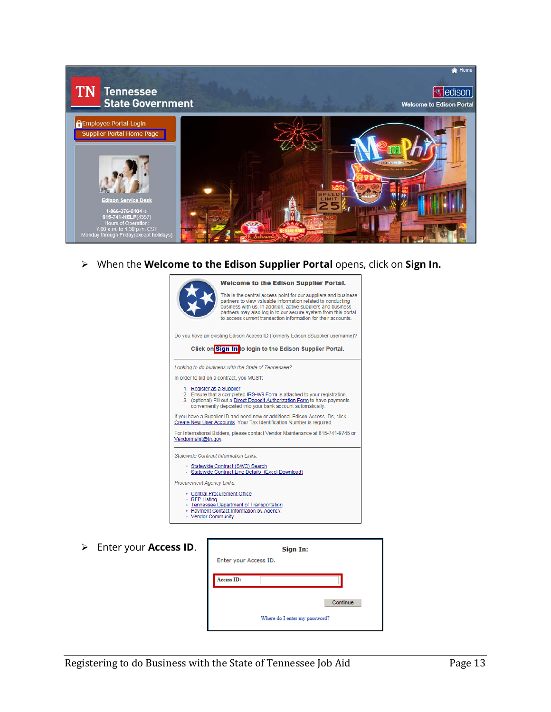

When the **Welcome to the Edison Supplier Portal** opens, click on **Sign In.**



Enter your **Access ID**.

| $\bullet$ | Sign In:                      |  |  |  |
|-----------|-------------------------------|--|--|--|
|           | Enter your Access ID.         |  |  |  |
|           | Access ID:                    |  |  |  |
|           |                               |  |  |  |
|           | Continue                      |  |  |  |
|           | Where do I enter my password? |  |  |  |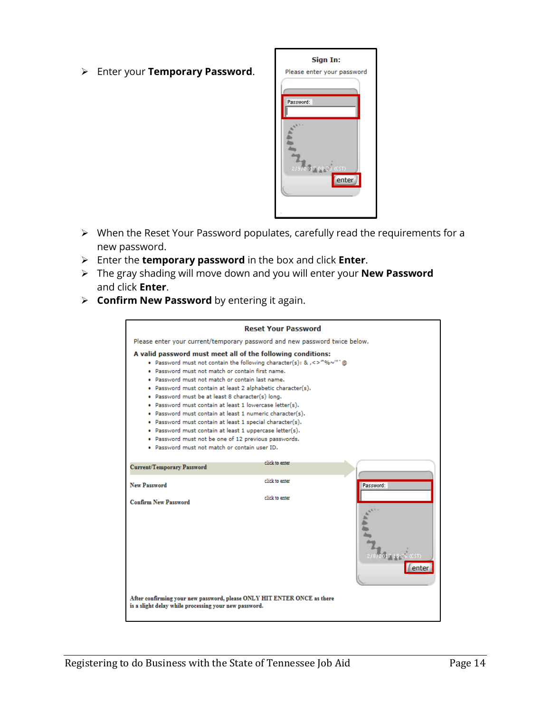Enter your **Temporary Password**.



- When the Reset Your Password populates, carefully read the requirements for a new password.
- Enter the **temporary password** in the box and click **Enter**.
- The gray shading will move down and you will enter your **New Password** and click **Enter**.
- **Confirm New Password** by entering it again.

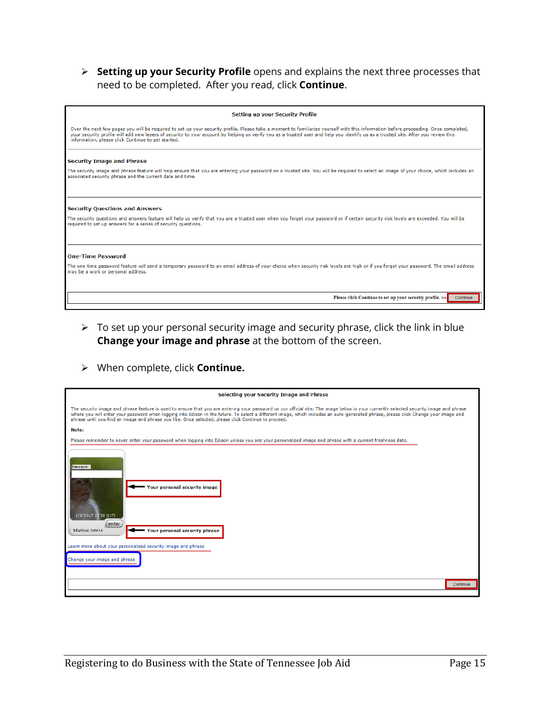**Setting up your Security Profile** opens and explains the next three processes that need to be completed. After you read, click **Continue**.

| <b>Setting up your Security Profile</b>                                                                                                                                                                                                                                                                                                                                                                                         |
|---------------------------------------------------------------------------------------------------------------------------------------------------------------------------------------------------------------------------------------------------------------------------------------------------------------------------------------------------------------------------------------------------------------------------------|
| Over the next few pages you will be required to set up your security profile. Please take a moment to familiarize yourself with this information before proceeding. Once completed,<br>your security profile will add new layers of security to your account by helping us verify you as a trusted user and help you identify us as a trusted site. After you review this<br>information, please click Continue to get started. |
| <b>Security Image and Phrase</b>                                                                                                                                                                                                                                                                                                                                                                                                |
| The security image and phrase feature will help ensure that you are entering your password on a trusted site. You will be required to select an image of your choice, which includes an<br>associated security phrase and the current date and time.                                                                                                                                                                            |
| <b>Security Ouestions and Answers</b>                                                                                                                                                                                                                                                                                                                                                                                           |
| The security questions and answers feature will help us verify that you are a trusted user when you forget your password or if certain security risk levels are exceeded. You will be<br>required to set up answers for a series of security questions.                                                                                                                                                                         |
| <b>One-Time Password</b>                                                                                                                                                                                                                                                                                                                                                                                                        |
| The one-time password feature will send a temporary password to an email address of your choice when security risk levels are high or if you forgot your password. The email address<br>may be a work or personal address.                                                                                                                                                                                                      |
| Please click Continue to set up your security profile. >><br>Continue                                                                                                                                                                                                                                                                                                                                                           |

- $\triangleright$  To set up your personal security image and security phrase, click the link in blue **Change your image and phrase** at the bottom of the screen.
- When complete, click **Continue.**

| <b>Selecting your Security Image and Phrase</b>                                                                                                                                                                                                                                                                                                                                                                                                                                       |  |  |  |
|---------------------------------------------------------------------------------------------------------------------------------------------------------------------------------------------------------------------------------------------------------------------------------------------------------------------------------------------------------------------------------------------------------------------------------------------------------------------------------------|--|--|--|
| The security image and phrase feature is used to ensure that you are entering your password on our official site. The image below is your currently selected security image and phrase<br>where you will enter your password when logging into Edison in the future. To select a different image, which includes an auto-generated phrase, please click Change your image and<br>phrase until you find an image and phrase you like. Once selected, please click Continue to proceed. |  |  |  |
| Note:                                                                                                                                                                                                                                                                                                                                                                                                                                                                                 |  |  |  |
| Please remember to never enter your password when logging into Edison unless you see your personalized image and phrase with a current freshness date.                                                                                                                                                                                                                                                                                                                                |  |  |  |
| Password:<br><b>Your personal security image</b><br>2/8/2017 15:38 (CST)<br>enter<br>hilarious Service<br>Your personal security phrase<br>Learn more about your personalized security image and phrase                                                                                                                                                                                                                                                                               |  |  |  |
|                                                                                                                                                                                                                                                                                                                                                                                                                                                                                       |  |  |  |
| Change your image and phrase                                                                                                                                                                                                                                                                                                                                                                                                                                                          |  |  |  |
|                                                                                                                                                                                                                                                                                                                                                                                                                                                                                       |  |  |  |
| Continue                                                                                                                                                                                                                                                                                                                                                                                                                                                                              |  |  |  |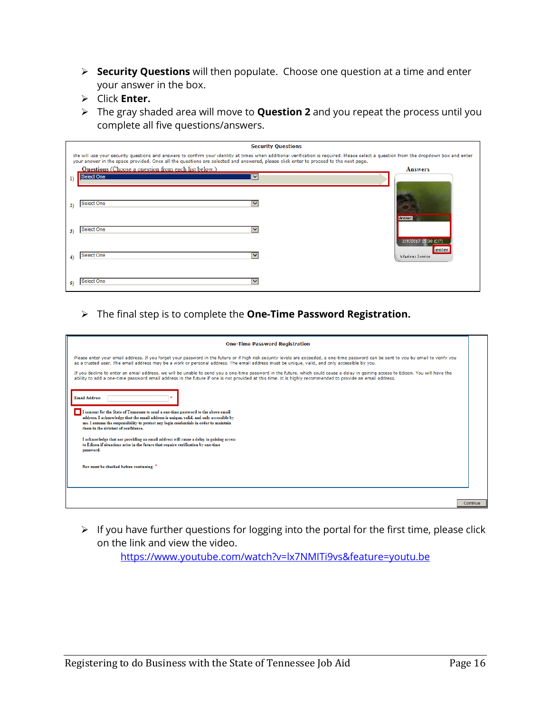- **Security Questions** will then populate. Choose one question at a time and enter your answer in the box.
- Click **Enter.**
- The gray shaded area will move to **Question 2** and you repeat the process until you complete all five questions/answers.

|              | <b>Security Questions</b>                                                                                                                                                                                                                                                                                                    |                               |  |  |  |
|--------------|------------------------------------------------------------------------------------------------------------------------------------------------------------------------------------------------------------------------------------------------------------------------------------------------------------------------------|-------------------------------|--|--|--|
|              | We will use your security questions and answers to confirm your identity at times when additional verification is required. Please select a question from the dropdown box and enter<br>your answer in the space provided. Once all the questions are selected and answered, please click enter to proceed to the next page. |                               |  |  |  |
|              | <b>Questions</b> (Choose a question from each list below.)                                                                                                                                                                                                                                                                   | <b>Answers</b>                |  |  |  |
| <sup>1</sup> | Select One<br>◡                                                                                                                                                                                                                                                                                                              |                               |  |  |  |
| 2)           | Select One<br>$\checkmark$                                                                                                                                                                                                                                                                                                   | Answer:                       |  |  |  |
| 3)           | <b>Select One</b><br>$\checkmark$                                                                                                                                                                                                                                                                                            |                               |  |  |  |
|              |                                                                                                                                                                                                                                                                                                                              | 2/8/2017 15:38 (CST)<br>enter |  |  |  |
| 4)           | Select One<br>$\checkmark$                                                                                                                                                                                                                                                                                                   | hilarious Service             |  |  |  |
| 5)           | Select One<br>$\checkmark$                                                                                                                                                                                                                                                                                                   |                               |  |  |  |

The final step is to complete the **One-Time Password Registration.**

| <b>One-Time Password Registration</b>                                                                                                                                                                                                                                                                                                                                                                                            |          |
|----------------------------------------------------------------------------------------------------------------------------------------------------------------------------------------------------------------------------------------------------------------------------------------------------------------------------------------------------------------------------------------------------------------------------------|----------|
| Please enter your email address. If you forget your password in the future or if high risk security levels are exceeded, a one-time password can be sent to you by email to verify you<br>as a trusted user. The email address may be a work or personal address. The email address must be unique, valid, and only accessible by you.                                                                                           |          |
| If you decline to enter an email address, we will be unable to send you a one-time password in the future, which could cause a delay in gaining access to Edison. You will have the<br>ability to add a one-time password email address in the future if one is not provided at this time. It is highly recommended to provide an email address.                                                                                 |          |
| <b>Email Address</b><br>I consent for the State of Tennessee to send a one-time password to the above email<br>address. I acknowledge that the email address is unique, valid, and only accessible by<br>me. I assume the responsibility to protect any login credentials in order to maintain<br>them in the strictest of confidence.<br>I acknowledge that not providing an email address will cause a delay in gaining access |          |
| to Edison if situations arise in the future that require verification by one-time<br>password.                                                                                                                                                                                                                                                                                                                                   |          |
| Box must be checked before continuing.                                                                                                                                                                                                                                                                                                                                                                                           |          |
|                                                                                                                                                                                                                                                                                                                                                                                                                                  | Continue |

 $\triangleright$  If you have further questions for logging into the portal for the first time, please click on the link and view the video.

<https://www.youtube.com/watch?v=lx7NMITi9vs&feature=youtu.be>